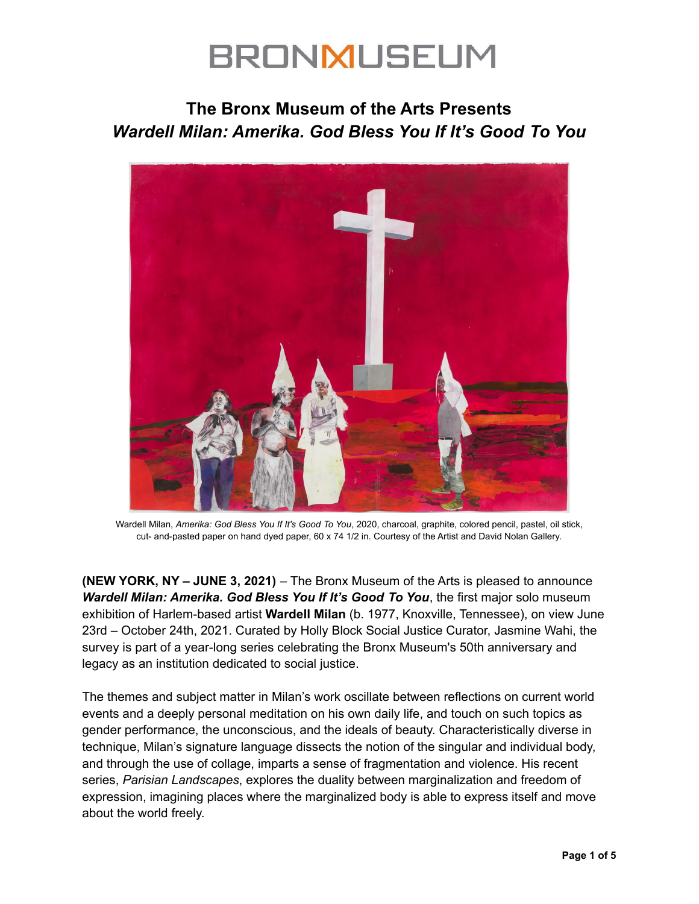### **The Bronx Museum of the Arts Presents** *Wardell Milan: Amerika. God Bless You If It's Good To You*



Wardell Milan, *Amerika: God Bless You If It's Good To You*, 2020, charcoal, graphite, colored pencil, pastel, oil stick, cut- and-pasted paper on hand dyed paper, 60 x 74 1/2 in. Courtesy of the Artist and David Nolan Gallery.

**(NEW YORK, NY – JUNE 3, 2021)** – The Bronx Museum of the Arts is pleased to announce *Wardell Milan: Amerika. God Bless You If It's Good To You*, the first major solo museum exhibition of Harlem-based artist **Wardell Milan** (b. 1977, Knoxville, Tennessee), on view June 23rd – October 24th, 2021. Curated by Holly Block Social Justice Curator, Jasmine Wahi, the survey is part of a year-long series celebrating the Bronx Museum's 50th anniversary and legacy as an institution dedicated to social justice.

The themes and subject matter in Milan's work oscillate between reflections on current world events and a deeply personal meditation on his own daily life, and touch on such topics as gender performance, the unconscious, and the ideals of beauty. Characteristically diverse in technique, Milan's signature language dissects the notion of the singular and individual body, and through the use of collage, imparts a sense of fragmentation and violence. His recent series, *Parisian Landscapes*, explores the duality between marginalization and freedom of expression, imagining places where the marginalized body is able to express itself and move about the world freely.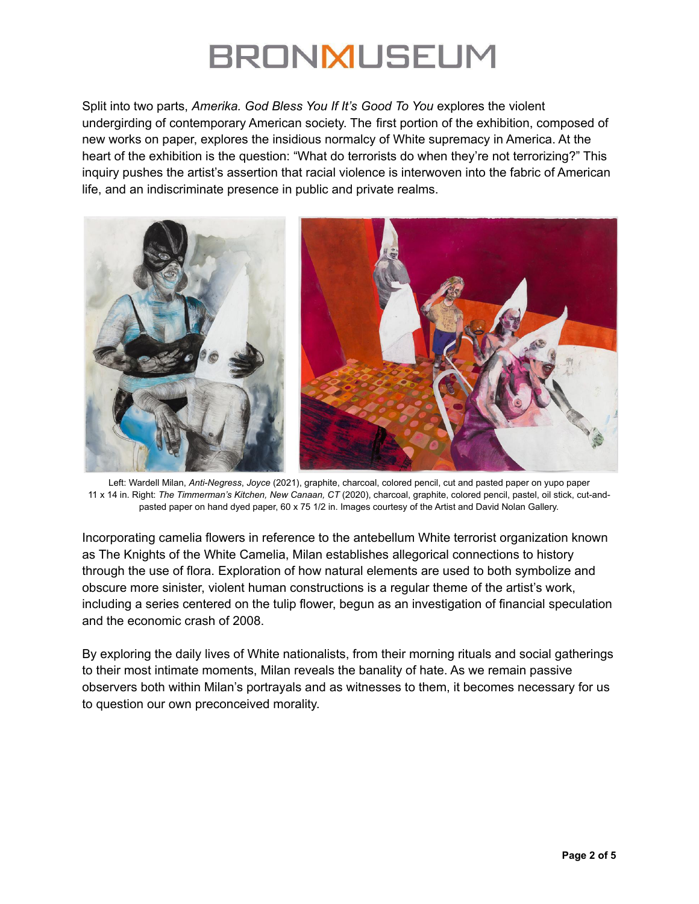Split into two parts, *Amerika. God Bless You If It's Good To You* explores the violent undergirding of contemporary American society. The first portion of the exhibition, composed of new works on paper, explores the insidious normalcy of White supremacy in America. At the heart of the exhibition is the question: "What do terrorists do when they're not terrorizing?" This inquiry pushes the artist's assertion that racial violence is interwoven into the fabric of American life, and an indiscriminate presence in public and private realms.



Left: Wardell Milan, *Anti-Negress*, *Joyce* (2021), graphite, charcoal, colored pencil, cut and pasted paper on yupo paper 11 x 14 in. Right: *The Timmerman's Kitchen, New Canaan, CT* (2020), charcoal, graphite, colored pencil, pastel, oil stick, cut-andpasted paper on hand dyed paper, 60 x 75 1/2 in. Images courtesy of the Artist and David Nolan Gallery.

Incorporating camelia flowers in reference to the antebellum White terrorist organization known as The Knights of the White Camelia, Milan establishes allegorical connections to history through the use of flora. Exploration of how natural elements are used to both symbolize and obscure more sinister, violent human constructions is a regular theme of the artist's work, including a series centered on the tulip flower, begun as an investigation of financial speculation and the economic crash of 2008.

By exploring the daily lives of White nationalists, from their morning rituals and social gatherings to their most intimate moments, Milan reveals the banality of hate. As we remain passive observers both within Milan's portrayals and as witnesses to them, it becomes necessary for us to question our own preconceived morality.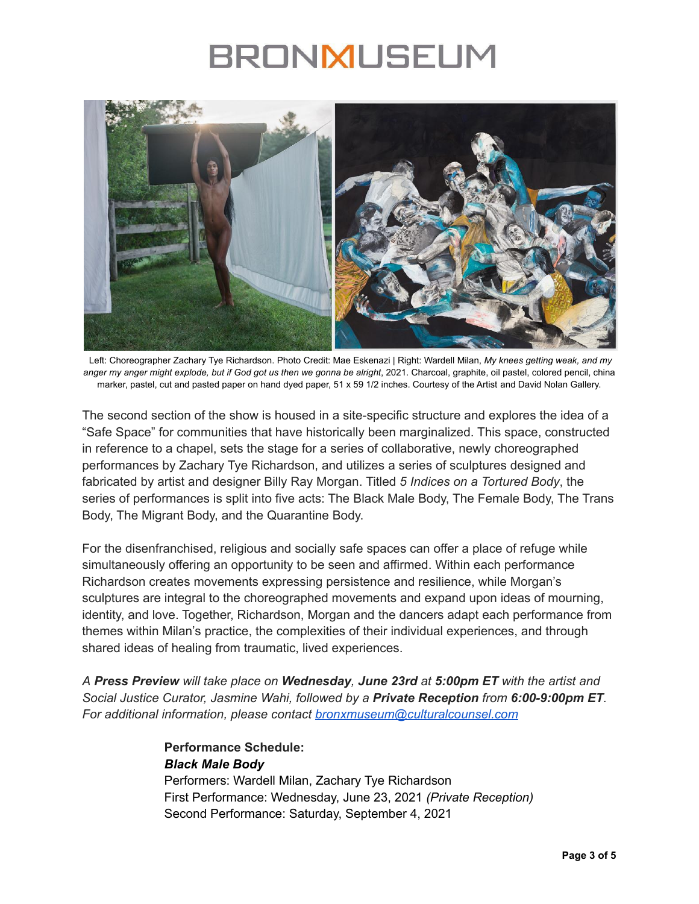

Left: Choreographer Zachary Tye Richardson. Photo Credit: Mae Eskenazi | Right: Wardell Milan, *My knees getting weak, and my* anger my anger might explode, but if God got us then we gonna be alright, 2021. Charcoal, graphite, oil pastel, colored pencil, china marker, pastel, cut and pasted paper on hand dyed paper, 51 x 59 1/2 inches. Courtesy of the Artist and David Nolan Gallery.

The second section of the show is housed in a site-specific structure and explores the idea of a "Safe Space" for communities that have historically been marginalized. This space, constructed in reference to a chapel, sets the stage for a series of collaborative, newly choreographed performances by Zachary Tye Richardson, and utilizes a series of sculptures designed and fabricated by artist and designer Billy Ray Morgan. Titled *5 Indices on a Tortured Body*, the series of performances is split into five acts: The Black Male Body, The Female Body, The Trans Body, The Migrant Body, and the Quarantine Body.

For the disenfranchised, religious and socially safe spaces can offer a place of refuge while simultaneously offering an opportunity to be seen and affirmed. Within each performance Richardson creates movements expressing persistence and resilience, while Morgan's sculptures are integral to the choreographed movements and expand upon ideas of mourning, identity, and love. Together, Richardson, Morgan and the dancers adapt each performance from themes within Milan's practice, the complexities of their individual experiences, and through shared ideas of healing from traumatic, lived experiences.

*A Press Preview will take place on Wednesday, June 23rd at 5:00pm ET with the artist and Social Justice Curator, Jasmine Wahi, followed by a Private Reception from 6:00-9:00pm ET. For additional information, please contact [bronxmuseum@culturalcounsel.com](mailto:bronxmuseum@culturalcounsel.com)*

> **Performance Schedule:** *Black Male Body* Performers: Wardell Milan, Zachary Tye Richardson First Performance: Wednesday, June 23, 2021 *(Private Reception)* Second Performance: Saturday, September 4, 2021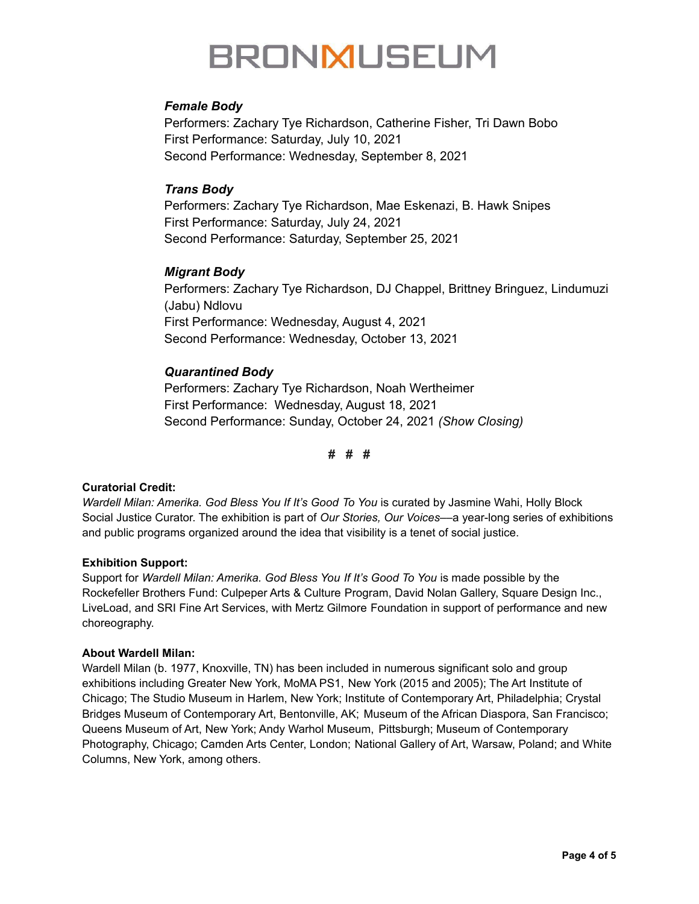### *Female Body*

Performers: Zachary Tye Richardson, Catherine Fisher, Tri Dawn Bobo First Performance: Saturday, July 10, 2021 Second Performance: Wednesday, September 8, 2021

### *Trans Body*

Performers: Zachary Tye Richardson, Mae Eskenazi, B. Hawk Snipes First Performance: Saturday, July 24, 2021 Second Performance: Saturday, September 25, 2021

### *Migrant Body*

Performers: Zachary Tye Richardson, DJ Chappel, Brittney Bringuez, Lindumuzi (Jabu) Ndlovu First Performance: Wednesday, August 4, 2021 Second Performance: Wednesday, October 13, 2021

### *Quarantined Body*

Performers: Zachary Tye Richardson, Noah Wertheimer First Performance: Wednesday, August 18, 2021 Second Performance: Sunday, October 24, 2021 *(Show Closing)*

**# # #**

### **Curatorial Credit:**

*Wardell Milan: Amerika. God Bless You If It's Good To You* is curated by Jasmine Wahi, Holly Block Social Justice Curator. The exhibition is part of *Our Stories, Our Voices*––a year-long series of exhibitions and public programs organized around the idea that visibility is a tenet of social justice.

### **Exhibition Support:**

Support for *Wardell Milan: Amerika. God Bless You If It's Good To You* is made possible by the Rockefeller Brothers Fund: Culpeper Arts & Culture Program, David Nolan Gallery, Square Design Inc., LiveLoad, and SRI Fine Art Services, with Mertz Gilmore Foundation in support of performance and new choreography.

#### **About Wardell Milan:**

Wardell Milan (b. 1977, Knoxville, TN) has been included in numerous significant solo and group exhibitions including Greater New York, MoMA PS1, New York (2015 and 2005); The Art Institute of Chicago; The Studio Museum in Harlem, New York; Institute of Contemporary Art, Philadelphia; Crystal Bridges Museum of Contemporary Art, Bentonville, AK; Museum of the African Diaspora, San Francisco; Queens Museum of Art, New York; Andy Warhol Museum, Pittsburgh; Museum of Contemporary Photography, Chicago; Camden Arts Center, London; National Gallery of Art, Warsaw, Poland; and White Columns, New York, among others.